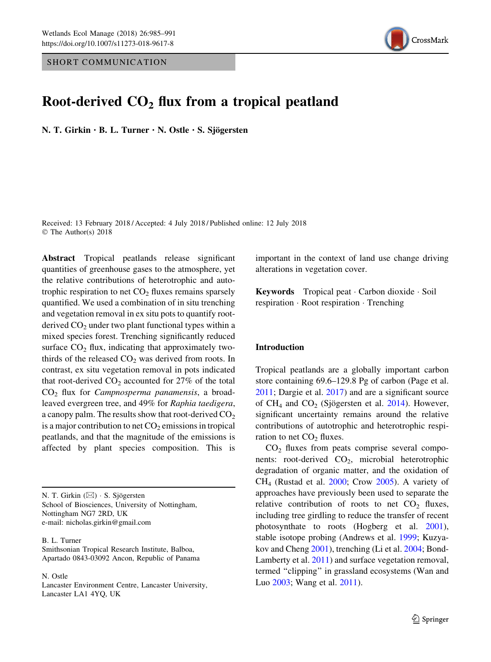SHORT COMMUNICATION



# Root-derived  $CO<sub>2</sub>$  flux from a tropical peatland

N. T. Girkin  $\cdot$  B. L. Turner  $\cdot$  N. Ostle  $\cdot$  S. Sjögersten

Received: 13 February 2018 / Accepted: 4 July 2018 / Published online: 12 July 2018 © The Author(s) 2018

Abstract Tropical peatlands release significant quantities of greenhouse gases to the atmosphere, yet the relative contributions of heterotrophic and autotrophic respiration to net  $CO<sub>2</sub>$  fluxes remains sparsely quantified. We used a combination of in situ trenching and vegetation removal in ex situ pots to quantify rootderived  $CO<sub>2</sub>$  under two plant functional types within a mixed species forest. Trenching significantly reduced surface  $CO<sub>2</sub>$  flux, indicating that approximately twothirds of the released  $CO<sub>2</sub>$  was derived from roots. In contrast, ex situ vegetation removal in pots indicated that root-derived  $CO<sub>2</sub>$  accounted for 27% of the total  $CO<sub>2</sub>$  flux for *Campnosperma panamensis*, a broadleaved evergreen tree, and 49% for Raphia taedigera, a canopy palm. The results show that root-derived  $CO<sub>2</sub>$ is a major contribution to net  $CO<sub>2</sub>$  emissions in tropical peatlands, and that the magnitude of the emissions is affected by plant species composition. This is

N. T. Girkin (⊠) · S. Sjögersten School of Biosciences, University of Nottingham, Nottingham NG7 2RD, UK e-mail: nicholas.girkin@gmail.com

B. L. Turner

Smithsonian Tropical Research Institute, Balboa, Apartado 0843-03092 Ancon, Republic of Panama

N. Ostle

Lancaster Environment Centre, Lancaster University, Lancaster LA1 4YQ, UK

important in the context of land use change driving alterations in vegetation cover.

Keywords Tropical peat Carbon dioxide Soil respiration - Root respiration - Trenching

# Introduction

Tropical peatlands are a globally important carbon store containing 69.6–129.8 Pg of carbon (Page et al. [2011;](#page-6-0) Dargie et al. [2017\)](#page-5-0) and are a significant source of  $CH_4$  and  $CO_2$  (Sjögersten et al. [2014\)](#page-6-0). However, significant uncertainty remains around the relative contributions of autotrophic and heterotrophic respiration to net  $CO<sub>2</sub>$  fluxes.

 $CO<sub>2</sub>$  fluxes from peats comprise several components: root-derived  $CO<sub>2</sub>$ , microbial heterotrophic degradation of organic matter, and the oxidation of  $CH<sub>4</sub>$  (Rustad et al. [2000](#page-6-0); Crow [2005](#page-5-0)). A variety of approaches have previously been used to separate the relative contribution of roots to net  $CO<sub>2</sub>$  fluxes, including tree girdling to reduce the transfer of recent photosynthate to roots (Hogberg et al. [2001](#page-6-0)), stable isotope probing (Andrews et al. [1999;](#page-5-0) Kuzyakov and Cheng [2001\)](#page-6-0), trenching (Li et al. [2004](#page-6-0); Bond-Lamberty et al. [2011\)](#page-5-0) and surface vegetation removal, termed ''clipping'' in grassland ecosystems (Wan and Luo [2003;](#page-6-0) Wang et al. [2011\)](#page-6-0).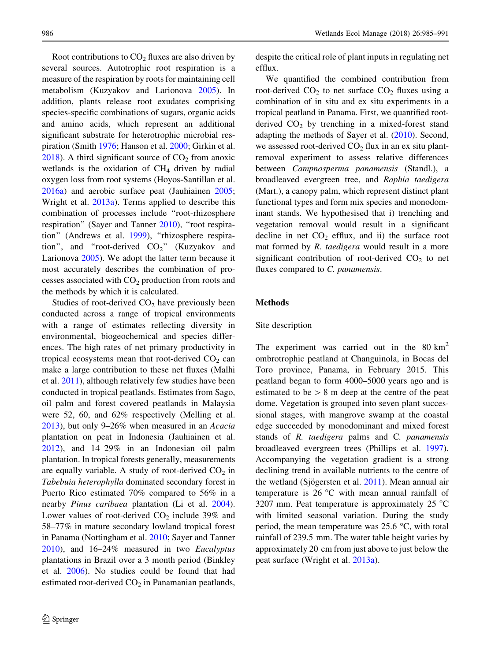Root contributions to  $CO<sub>2</sub>$  fluxes are also driven by several sources. Autotrophic root respiration is a measure of the respiration by roots for maintaining cell metabolism (Kuzyakov and Larionova [2005](#page-6-0)). In addition, plants release root exudates comprising species-specific combinations of sugars, organic acids and amino acids, which represent an additional significant substrate for heterotrophic microbial respiration (Smith [1976;](#page-6-0) Hanson et al. [2000](#page-5-0); Girkin et al.  $2018$ ). A third significant source of  $CO<sub>2</sub>$  from anoxic wetlands is the oxidation of  $CH<sub>4</sub>$  driven by radial oxygen loss from root systems (Hoyos-Santillan et al. [2016a](#page-6-0)) and aerobic surface peat (Jauhiainen [2005](#page-6-0); Wright et al. [2013a\)](#page-6-0). Terms applied to describe this combination of processes include ''root-rhizosphere respiration" (Sayer and Tanner [2010](#page-6-0)), "root respira-tion" (Andrews et al. [1999\)](#page-5-0), "rhizosphere respiration", and "root-derived  $CO<sub>2</sub>$ " (Kuzyakov and Larionova [2005\)](#page-6-0). We adopt the latter term because it most accurately describes the combination of processes associated with  $CO<sub>2</sub>$  production from roots and the methods by which it is calculated.

Studies of root-derived  $CO<sub>2</sub>$  have previously been conducted across a range of tropical environments with a range of estimates reflecting diversity in environmental, biogeochemical and species differences. The high rates of net primary productivity in tropical ecosystems mean that root-derived  $CO<sub>2</sub>$  can make a large contribution to these net fluxes (Malhi et al. [2011\)](#page-6-0), although relatively few studies have been conducted in tropical peatlands. Estimates from Sago, oil palm and forest covered peatlands in Malaysia were 52, 60, and 62% respectively (Melling et al. [2013\)](#page-6-0), but only 9–26% when measured in an Acacia plantation on peat in Indonesia (Jauhiainen et al. [2012\)](#page-6-0), and 14–29% in an Indonesian oil palm plantation. In tropical forests generally, measurements are equally variable. A study of root-derived  $CO<sub>2</sub>$  in Tabebuia heterophylla dominated secondary forest in Puerto Rico estimated 70% compared to 56% in a nearby Pinus caribaea plantation (Li et al. [2004](#page-6-0)). Lower values of root-derived  $CO<sub>2</sub>$  include 39% and 58–77% in mature secondary lowland tropical forest in Panama (Nottingham et al. [2010;](#page-6-0) Sayer and Tanner [2010\)](#page-6-0), and 16–24% measured in two Eucalyptus plantations in Brazil over a 3 month period (Binkley et al. [2006\)](#page-5-0). No studies could be found that had estimated root-derived  $CO<sub>2</sub>$  in Panamanian peatlands,

despite the critical role of plant inputs in regulating net efflux.

We quantified the combined contribution from root-derived  $CO<sub>2</sub>$  to net surface  $CO<sub>2</sub>$  fluxes using a combination of in situ and ex situ experiments in a tropical peatland in Panama. First, we quantified rootderived  $CO<sub>2</sub>$  by trenching in a mixed-forest stand adapting the methods of Sayer et al. [\(2010](#page-6-0)). Second, we assessed root-derived  $CO<sub>2</sub>$  flux in an ex situ plantremoval experiment to assess relative differences between Campnosperma panamensis (Standl.), a broadleaved evergreen tree, and Raphia taedigera (Mart.), a canopy palm, which represent distinct plant functional types and form mix species and monodominant stands. We hypothesised that i) trenching and vegetation removal would result in a significant decline in net  $CO<sub>2</sub>$  efflux, and ii) the surface root mat formed by R. taedigera would result in a more significant contribution of root-derived  $CO<sub>2</sub>$  to net fluxes compared to C. panamensis.

## Methods

## Site description

The experiment was carried out in the  $80 \text{ km}^2$ ombrotrophic peatland at Changuinola, in Bocas del Toro province, Panama, in February 2015. This peatland began to form 4000–5000 years ago and is estimated to be  $> 8$  m deep at the centre of the peat dome. Vegetation is grouped into seven plant successional stages, with mangrove swamp at the coastal edge succeeded by monodominant and mixed forest stands of R. taedigera palms and C. panamensis broadleaved evergreen trees (Phillips et al. [1997](#page-6-0)). Accompanying the vegetation gradient is a strong declining trend in available nutrients to the centre of the wetland (Sjögersten et al. [2011\)](#page-6-0). Mean annual air temperature is  $26^{\circ}$ C with mean annual rainfall of 3207 mm. Peat temperature is approximately 25  $\degree$ C with limited seasonal variation. During the study period, the mean temperature was  $25.6 \degree C$ , with total rainfall of 239.5 mm. The water table height varies by approximately 20 cm from just above to just below the peat surface (Wright et al. [2013a\)](#page-6-0).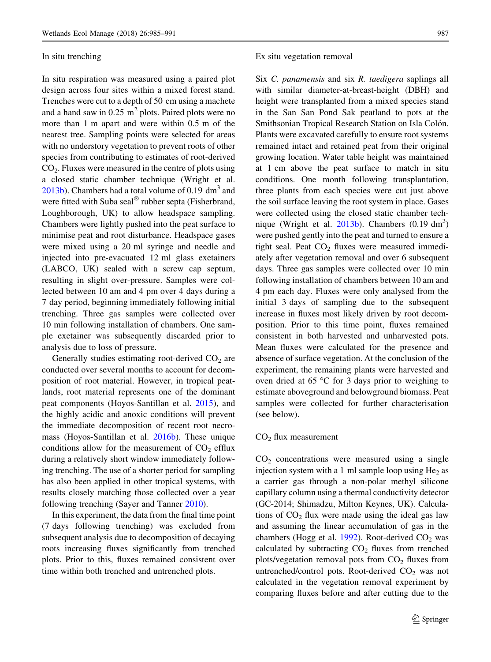## In situ trenching

In situ respiration was measured using a paired plot design across four sites within a mixed forest stand. Trenches were cut to a depth of 50 cm using a machete and a hand saw in  $0.25 \text{ m}^2$  plots. Paired plots were no more than 1 m apart and were within 0.5 m of the nearest tree. Sampling points were selected for areas with no understory vegetation to prevent roots of other species from contributing to estimates of root-derived CO2. Fluxes were measured in the centre of plots using a closed static chamber technique (Wright et al.  $2013<sub>b</sub>$ ). Chambers had a total volume of 0.19 dm<sup>3</sup> and were fitted with Suba seal<sup> $\circledast$ </sup> rubber septa (Fisherbrand, Loughborough, UK) to allow headspace sampling. Chambers were lightly pushed into the peat surface to minimise peat and root disturbance. Headspace gases were mixed using a 20 ml syringe and needle and injected into pre-evacuated 12 ml glass exetainers (LABCO, UK) sealed with a screw cap septum, resulting in slight over-pressure. Samples were collected between 10 am and 4 pm over 4 days during a 7 day period, beginning immediately following initial trenching. Three gas samples were collected over 10 min following installation of chambers. One sample exetainer was subsequently discarded prior to analysis due to loss of pressure.

Generally studies estimating root-derived  $CO<sub>2</sub>$  are conducted over several months to account for decomposition of root material. However, in tropical peatlands, root material represents one of the dominant peat components (Hoyos-Santillan et al. [2015\)](#page-6-0), and the highly acidic and anoxic conditions will prevent the immediate decomposition of recent root necromass (Hoyos-Santillan et al. [2016b\)](#page-6-0). These unique conditions allow for the measurement of  $CO<sub>2</sub>$  efflux during a relatively short window immediately following trenching. The use of a shorter period for sampling has also been applied in other tropical systems, with results closely matching those collected over a year following trenching (Sayer and Tanner [2010](#page-6-0)).

In this experiment, the data from the final time point (7 days following trenching) was excluded from subsequent analysis due to decomposition of decaying roots increasing fluxes significantly from trenched plots. Prior to this, fluxes remained consistent over time within both trenched and untrenched plots.

## Ex situ vegetation removal

Six C. panamensis and six R. taedigera saplings all with similar diameter-at-breast-height (DBH) and height were transplanted from a mixed species stand in the San San Pond Sak peatland to pots at the Smithsonian Tropical Research Station on Isla Colón. Plants were excavated carefully to ensure root systems remained intact and retained peat from their original growing location. Water table height was maintained at 1 cm above the peat surface to match in situ conditions. One month following transplantation, three plants from each species were cut just above the soil surface leaving the root system in place. Gases were collected using the closed static chamber technique (Wright et al.  $2013b$ ). Chambers  $(0.19 \text{ dm}^3)$ were pushed gently into the peat and turned to ensure a tight seal. Peat  $CO<sub>2</sub>$  fluxes were measured immediately after vegetation removal and over 6 subsequent days. Three gas samples were collected over 10 min following installation of chambers between 10 am and 4 pm each day. Fluxes were only analysed from the initial 3 days of sampling due to the subsequent increase in fluxes most likely driven by root decomposition. Prior to this time point, fluxes remained consistent in both harvested and unharvested pots. Mean fluxes were calculated for the presence and absence of surface vegetation. At the conclusion of the experiment, the remaining plants were harvested and oven dried at  $65^{\circ}$ C for 3 days prior to weighing to estimate aboveground and belowground biomass. Peat samples were collected for further characterisation (see below).

## $CO<sub>2</sub>$  flux measurement

 $CO<sub>2</sub>$  concentrations were measured using a single injection system with a 1 ml sample loop using  $He<sub>2</sub>$  as a carrier gas through a non-polar methyl silicone capillary column using a thermal conductivity detector (GC-2014; Shimadzu, Milton Keynes, UK). Calculations of  $CO<sub>2</sub>$  flux were made using the ideal gas law and assuming the linear accumulation of gas in the chambers (Hogg et al. [1992\)](#page-6-0). Root-derived  $CO<sub>2</sub>$  was calculated by subtracting  $CO<sub>2</sub>$  fluxes from trenched plots/vegetation removal pots from  $CO<sub>2</sub>$  fluxes from untrenched/control pots. Root-derived  $CO<sub>2</sub>$  was not calculated in the vegetation removal experiment by comparing fluxes before and after cutting due to the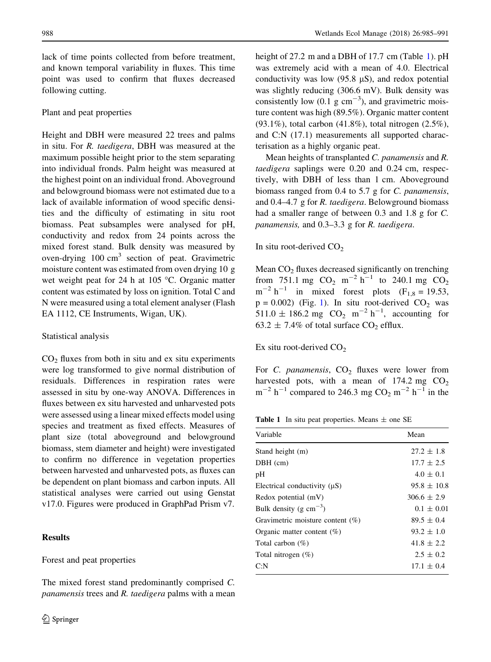lack of time points collected from before treatment, and known temporal variability in fluxes. This time point was used to confirm that fluxes decreased following cutting.

## Plant and peat properties

Height and DBH were measured 22 trees and palms in situ. For R. taedigera, DBH was measured at the maximum possible height prior to the stem separating into individual fronds. Palm height was measured at the highest point on an individual frond. Aboveground and belowground biomass were not estimated due to a lack of available information of wood specific densities and the difficulty of estimating in situ root biomass. Peat subsamples were analysed for pH, conductivity and redox from 24 points across the mixed forest stand. Bulk density was measured by oven-drying  $100 \text{ cm}^3$  section of peat. Gravimetric moisture content was estimated from oven drying 10 g wet weight peat for 24 h at  $105 \degree C$ . Organic matter content was estimated by loss on ignition. Total C and N were measured using a total element analyser (Flash EA 1112, CE Instruments, Wigan, UK).

## Statistical analysis

 $CO<sub>2</sub>$  fluxes from both in situ and ex situ experiments were log transformed to give normal distribution of residuals. Differences in respiration rates were assessed in situ by one-way ANOVA. Differences in fluxes between ex situ harvested and unharvested pots were assessed using a linear mixed effects model using species and treatment as fixed effects. Measures of plant size (total aboveground and belowground biomass, stem diameter and height) were investigated to confirm no difference in vegetation properties between harvested and unharvested pots, as fluxes can be dependent on plant biomass and carbon inputs. All statistical analyses were carried out using Genstat v17.0. Figures were produced in GraphPad Prism v7.

## Results

## Forest and peat properties

The mixed forest stand predominantly comprised C. panamensis trees and R. taedigera palms with a mean height of 27.2 m and a DBH of 17.7 cm (Table 1). pH was extremely acid with a mean of 4.0. Electrical conductivity was low  $(95.8 \text{ }\mu\text{S})$ , and redox potential was slightly reducing (306.6 mV). Bulk density was consistently low  $(0.1 \text{ g cm}^{-3})$ , and gravimetric moisture content was high (89.5%). Organic matter content (93.1%), total carbon (41.8%), total nitrogen (2.5%), and C:N (17.1) measurements all supported characterisation as a highly organic peat.

Mean heights of transplanted C. panamensis and R. taedigera saplings were 0.20 and 0.24 cm, respectively, with DBH of less than 1 cm. Aboveground biomass ranged from 0.4 to 5.7 g for C. panamensis, and 0.4–4.7 g for R. taedigera. Belowground biomass had a smaller range of between 0.3 and 1.8 g for C. panamensis, and 0.3–3.3 g for R. taedigera.

In situ root-derived  $CO<sub>2</sub>$ 

Mean  $CO<sub>2</sub>$  fluxes decreased significantly on trenching from 751.1 mg  $CO_2$  m<sup>-2</sup> h<sup>-1</sup> to 240.1 mg  $CO_2$  $m^{-2}$  h<sup>-1</sup> in mixed forest plots (F<sub>1,8</sub> = 19.53,  $p = 0.002$ ) (Fig. [1\)](#page-4-0). In situ root-derived CO<sub>2</sub> was 511.0  $\pm$  186.2 mg CO<sub>2</sub> m<sup>-2</sup> h<sup>-1</sup>, accounting for 63.2  $\pm$  7.4% of total surface CO<sub>2</sub> efflux.

Ex situ root-derived  $CO<sub>2</sub>$ 

For C. panamensis,  $CO<sub>2</sub>$  fluxes were lower from harvested pots, with a mean of  $174.2 \text{ mg } CO_2$  $m^{-2}$  h<sup>-1</sup> compared to 246.3 mg CO<sub>2</sub> m<sup>-2</sup> h<sup>-1</sup> in the

**Table 1** In situ peat properties. Means  $\pm$  one SE

| Variable                            | Mean            |
|-------------------------------------|-----------------|
| Stand height (m)                    | $27.2 \pm 1.8$  |
| $DBH$ (cm)                          | $17.7 \pm 2.5$  |
| pH                                  | $4.0 \pm 0.1$   |
| Electrical conductivity $(\mu S)$   | $95.8 \pm 10.8$ |
| Redox potential (mV)                | $306.6 \pm 2.9$ |
| Bulk density (g $cm^{-3}$ )         | $0.1 \pm 0.01$  |
| Gravimetric moisture content $(\%)$ | $89.5 \pm 0.4$  |
| Organic matter content $(\%)$       | $93.2 \pm 1.0$  |
| Total carbon $(\%)$                 | $41.8 \pm 2.2$  |
| Total nitrogen $(\%)$               | $2.5 \pm 0.2$   |
| C: N                                | $17.1 \pm 0.4$  |
|                                     |                 |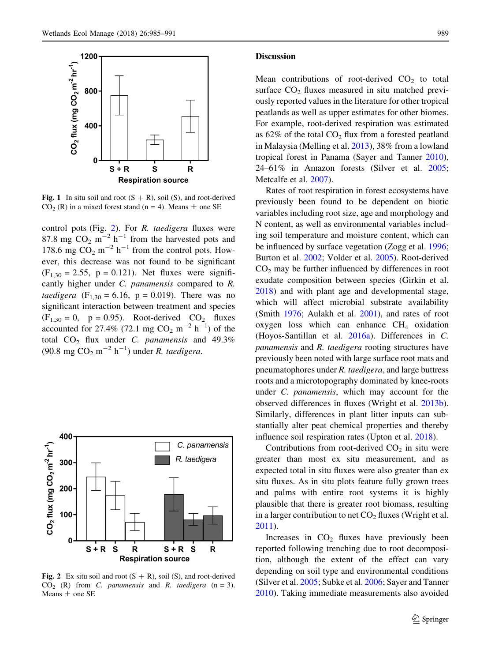<span id="page-4-0"></span>

Fig. 1 In situ soil and root  $(S + R)$ , soil  $(S)$ , and root-derived  $CO<sub>2</sub>$  (R) in a mixed forest stand (n = 4). Means  $\pm$  one SE

control pots (Fig. 2). For R. taedigera fluxes were 87.8 mg  $CO_2$  m<sup>-2</sup> h<sup>-1</sup> from the harvested pots and 178.6 mg  $CO_2$  m<sup>-2</sup> h<sup>-1</sup> from the control pots. However, this decrease was not found to be significant  $(F_{1,30} = 2.55, p = 0.121)$ . Net fluxes were significantly higher under C. panamensis compared to R. *taedigera* ( $F_{1,30} = 6.16$ ,  $p = 0.019$ ). There was no significant interaction between treatment and species  $(F<sub>1,30</sub> = 0, p = 0.95)$ . Root-derived CO<sub>2</sub> fluxes accounted for 27.4% (72.1 mg  $CO_2 \text{ m}^{-2} \text{ h}^{-1}$ ) of the total  $CO<sub>2</sub>$  flux under C. panamensis and 49.3% (90.8 mg  $CO_2$  m<sup>-2</sup> h<sup>-1</sup>) under *R. taedigera*.



Fig. 2 Ex situ soil and root  $(S + R)$ , soil  $(S)$ , and root-derived  $CO<sub>2</sub>$  (R) from *C. panamensis* and *R. taedigera* (n = 3). Means  $\pm$  one SE

## Discussion

Mean contributions of root-derived  $CO<sub>2</sub>$  to total surface  $CO<sub>2</sub>$  fluxes measured in situ matched previously reported values in the literature for other tropical peatlands as well as upper estimates for other biomes. For example, root-derived respiration was estimated as  $62\%$  of the total  $CO<sub>2</sub>$  flux from a forested peatland in Malaysia (Melling et al. [2013\)](#page-6-0), 38% from a lowland tropical forest in Panama (Sayer and Tanner [2010](#page-6-0)), 24–61% in Amazon forests (Silver et al. [2005](#page-6-0); Metcalfe et al. [2007\)](#page-6-0).

Rates of root respiration in forest ecosystems have previously been found to be dependent on biotic variables including root size, age and morphology and N content, as well as environmental variables including soil temperature and moisture content, which can be influenced by surface vegetation (Zogg et al. [1996](#page-6-0); Burton et al. [2002;](#page-5-0) Volder et al. [2005\)](#page-6-0). Root-derived  $CO<sub>2</sub>$  may be further influenced by differences in root exudate composition between species (Girkin et al. [2018\)](#page-5-0) and with plant age and developmental stage, which will affect microbial substrate availability (Smith [1976](#page-6-0); Aulakh et al. [2001\)](#page-5-0), and rates of root oxygen loss which can enhance  $CH<sub>4</sub>$  oxidation (Hoyos-Santillan et al. [2016a\)](#page-6-0). Differences in C. panamensis and R. taedigera rooting structures have previously been noted with large surface root mats and pneumatophores under R. taedigera, and large buttress roots and a microtopography dominated by knee-roots under C. panamensis, which may account for the observed differences in fluxes (Wright et al. [2013b](#page-6-0)). Similarly, differences in plant litter inputs can substantially alter peat chemical properties and thereby influence soil respiration rates (Upton et al. [2018\)](#page-6-0).

Contributions from root-derived  $CO<sub>2</sub>$  in situ were greater than most ex situ measurement, and as expected total in situ fluxes were also greater than ex situ fluxes. As in situ plots feature fully grown trees and palms with entire root systems it is highly plausible that there is greater root biomass, resulting in a larger contribution to net  $CO<sub>2</sub>$  fluxes (Wright et al. [2011\)](#page-6-0).

Increases in  $CO<sub>2</sub>$  fluxes have previously been reported following trenching due to root decomposition, although the extent of the effect can vary depending on soil type and environmental conditions (Silver et al. [2005;](#page-6-0) Subke et al. [2006;](#page-6-0) Sayer and Tanner [2010\)](#page-6-0). Taking immediate measurements also avoided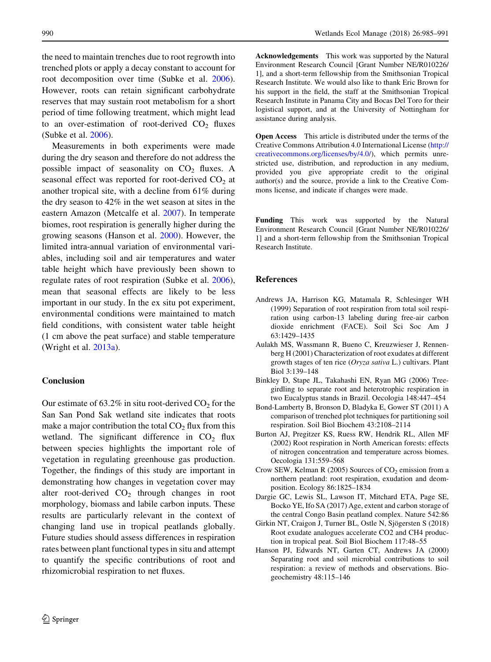<span id="page-5-0"></span>the need to maintain trenches due to root regrowth into trenched plots or apply a decay constant to account for root decomposition over time (Subke et al. [2006](#page-6-0)). However, roots can retain significant carbohydrate reserves that may sustain root metabolism for a short period of time following treatment, which might lead to an over-estimation of root-derived  $CO<sub>2</sub>$  fluxes (Subke et al. [2006](#page-6-0)).

Measurements in both experiments were made during the dry season and therefore do not address the possible impact of seasonality on  $CO<sub>2</sub>$  fluxes. A seasonal effect was reported for root-derived  $CO<sub>2</sub>$  at another tropical site, with a decline from 61% during the dry season to 42% in the wet season at sites in the eastern Amazon (Metcalfe et al. [2007\)](#page-6-0). In temperate biomes, root respiration is generally higher during the growing seasons (Hanson et al. 2000). However, the limited intra-annual variation of environmental variables, including soil and air temperatures and water table height which have previously been shown to regulate rates of root respiration (Subke et al. [2006](#page-6-0)), mean that seasonal effects are likely to be less important in our study. In the ex situ pot experiment, environmental conditions were maintained to match field conditions, with consistent water table height (1 cm above the peat surface) and stable temperature (Wright et al. [2013a](#page-6-0)).

## Conclusion

Our estimate of  $63.2\%$  in situ root-derived  $CO<sub>2</sub>$  for the San San Pond Sak wetland site indicates that roots make a major contribution the total  $CO<sub>2</sub>$  flux from this wetland. The significant difference in  $CO<sub>2</sub>$  flux between species highlights the important role of vegetation in regulating greenhouse gas production. Together, the findings of this study are important in demonstrating how changes in vegetation cover may alter root-derived  $CO<sub>2</sub>$  through changes in root morphology, biomass and labile carbon inputs. These results are particularly relevant in the context of changing land use in tropical peatlands globally. Future studies should assess differences in respiration rates between plant functional types in situ and attempt to quantify the specific contributions of root and rhizomicrobial respiration to net fluxes.

Acknowledgements This work was supported by the Natural Environment Research Council [Grant Number NE/R010226/ 1], and a short-term fellowship from the Smithsonian Tropical Research Institute. We would also like to thank Eric Brown for his support in the field, the staff at the Smithsonian Tropical Research Institute in Panama City and Bocas Del Toro for their logistical support, and at the University of Nottingham for assistance during analysis.

Open Access This article is distributed under the terms of the Creative Commons Attribution 4.0 International License ([http://](http://creativecommons.org/licenses/by/4.0/) [creativecommons.org/licenses/by/4.0/\)](http://creativecommons.org/licenses/by/4.0/), which permits unrestricted use, distribution, and reproduction in any medium, provided you give appropriate credit to the original author(s) and the source, provide a link to the Creative Commons license, and indicate if changes were made.

Funding This work was supported by the Natural Environment Research Council [Grant Number NE/R010226/ 1] and a short-term fellowship from the Smithsonian Tropical Research Institute.

## References

- Andrews JA, Harrison KG, Matamala R, Schlesinger WH (1999) Separation of root respiration from total soil respiration using carbon-13 labeling during free-air carbon dioxide enrichment (FACE). Soil Sci Soc Am J 63:1429–1435
- Aulakh MS, Wassmann R, Bueno C, Kreuzwieser J, Rennenberg H (2001) Characterization of root exudates at different growth stages of ten rice (Oryza sativa L.) cultivars. Plant Biol 3:139–148
- Binkley D, Stape JL, Takahashi EN, Ryan MG (2006) Treegirdling to separate root and heterotrophic respiration in two Eucalyptus stands in Brazil. Oecologia 148:447–454
- Bond-Lamberty B, Bronson D, Bladyka E, Gower ST (2011) A comparison of trenched plot techniques for partitioning soil respiration. Soil Biol Biochem 43:2108–2114
- Burton AJ, Pregitzer KS, Ruess RW, Hendrik RL, Allen MF (2002) Root respiration in North American forests: effects of nitrogen concentration and temperature across biomes. Oecologia 131:559–568
- Crow SEW, Kelman R  $(2005)$  Sources of CO<sub>2</sub> emission from a northern peatland: root respiration, exudation and deomposition. Ecology 86:1825–1834
- Dargie GC, Lewis SL, Lawson IT, Mitchard ETA, Page SE, Bocko YE, Ifo SA (2017) Age, extent and carbon storage of the central Congo Basin peatland complex. Nature 542:86
- Girkin NT, Craigon J, Turner BL, Ostle N, Sjögersten S (2018) Root exudate analogues accelerate CO2 and CH4 production in tropical peat. Soil Biol Biochem 117:48–55
- Hanson PJ, Edwards NT, Garten CT, Andrews JA (2000) Separating root and soil microbial contributions to soil respiration: a review of methods and observations. Biogeochemistry 48:115–146